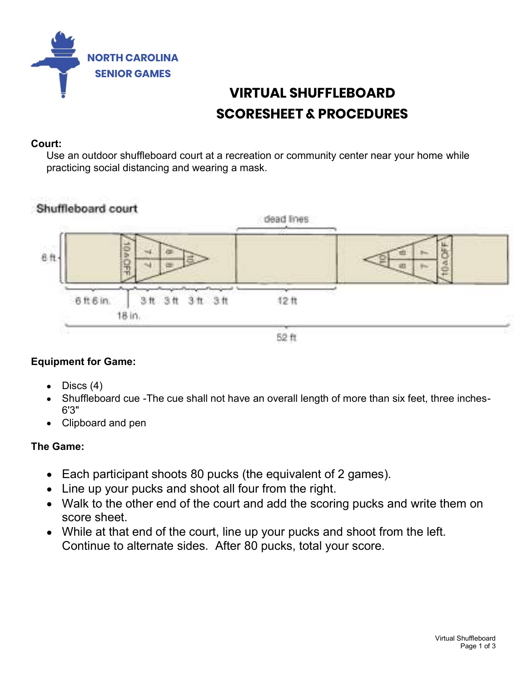

# VIRTUAL SHUFFLEBOARD SCORESHEET & PROCEDURES

### Court:

Use an outdoor shuffleboard court at a recreation or community center near your home while practicing social distancing and wearing a mask.



# Equipment for Game:

- Discs (4)
- Shuffleboard cue -The cue shall not have an overall length of more than six feet, three inches-6'3"
- Clipboard and pen

# The Game:

- Each participant shoots 80 pucks (the equivalent of 2 games).
- Line up your pucks and shoot all four from the right.
- n on<br>huffleboard<br>Page 1 of 3 Walk to the other end of the court and add the scoring pucks and write them on score sheet.
- While at that end of the court, line up your pucks and shoot from the left. Continue to alternate sides. After 80 pucks, total your score.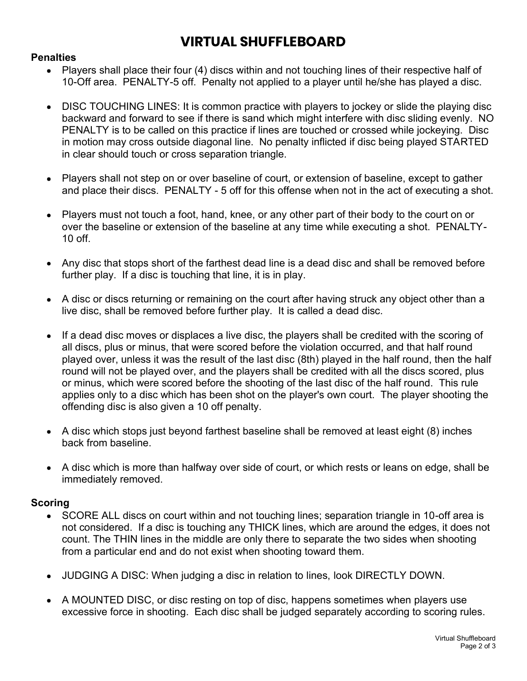# VIRTUAL SHUFFLEBOARD

#### **Penalties**

- Players shall place their four (4) discs within and not touching lines of their respective half of 10-Off area. PENALTY-5 off. Penalty not applied to a player until he/she has played a disc.
- DISC TOUCHING LINES: It is common practice with players to jockey or slide the playing disc backward and forward to see if there is sand which might interfere with disc sliding evenly. NO PENALTY is to be called on this practice if lines are touched or crossed while jockeying. Disc in motion may cross outside diagonal line. No penalty inflicted if disc being played STARTED in clear should touch or cross separation triangle.
- Players shall not step on or over baseline of court, or extension of baseline, except to gather and place their discs. PENALTY - 5 off for this offense when not in the act of executing a shot.
- Players must not touch a foot, hand, knee, or any other part of their body to the court on or over the baseline or extension of the baseline at any time while executing a shot. PENALTY- $10 \text{ off}$
- Any disc that stops short of the farthest dead line is a dead disc and shall be removed before further play. If a disc is touching that line, it is in play.
- A disc or discs returning or remaining on the court after having struck any object other than a live disc, shall be removed before further play. It is called a dead disc.
- If a dead disc moves or displaces a live disc, the players shall be credited with the scoring of all discs, plus or minus, that were scored before the violation occurred, and that half round played over, unless it was the result of the last disc (8th) played in the half round, then the half round will not be played over, and the players shall be credited with all the discs scored, plus or minus, which were scored before the shooting of the last disc of the half round. This rule applies only to a disc which has been shot on the player's own court. The player shooting the offending disc is also given a 10 off penalty.
- A disc which stops just beyond farthest baseline shall be removed at least eight (8) inches back from baseline.
- A disc which is more than halfway over side of court, or which rests or leans on edge, shall be immediately removed.

#### Scoring

- es<br>Page 2<br>Page 2 of 3<br>Page 2 of 3<br>Page 2 of 3 SCORE ALL discs on court within and not touching lines; separation triangle in 10-off area is not considered. If a disc is touching any THICK lines, which are around the edges, it does not count. The THIN lines in the middle are only there to separate the two sides when shooting from a particular end and do not exist when shooting toward them.
- JUDGING A DISC: When judging a disc in relation to lines, look DIRECTLY DOWN.
- A MOUNTED DISC, or disc resting on top of disc, happens sometimes when players use excessive force in shooting. Each disc shall be judged separately according to scoring rules.